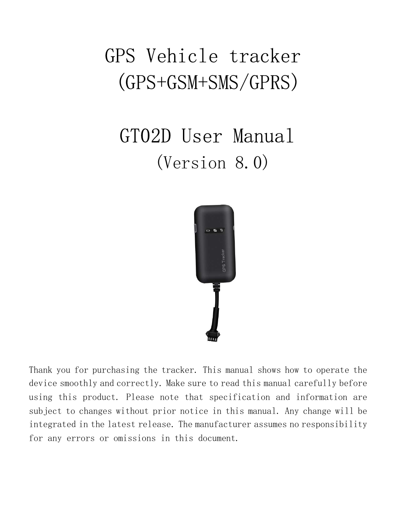# GPS Vehicle tracker (GPS+GSM+SMS/GPRS)

# GT02D User Manual (Version 8.0)



Thank you for purchasing the tracker. This manual shows how to operate the device smoothly and correctly. Make sure to read this manual carefully before using this product. Please note that specification and information are subject to changes without prior notice in this manual. Any change will be integrated in the latest release. The manufacturer assumes no responsibility for any errors or omissions in this document.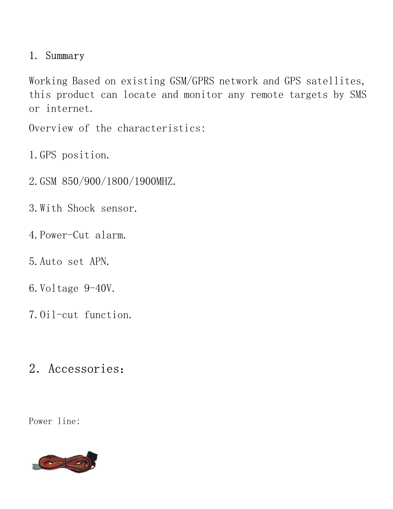#### 1. Summary

Working Based on existing GSM/GPRS network and GPS satellites, this product can locate and monitor any remote targets by SMS or internet.

Overview of the characteristics:

- 1.GPS position.
- 2.GSM 850/900/1800/1900MHZ.
- 3.With Shock sensor.
- 4.Power-Cut alarm.
- 5.Auto set APN.
- 6.Voltage 9-40V.
- 7.Oil-cut function.

## 2.Accessories:

Power line:

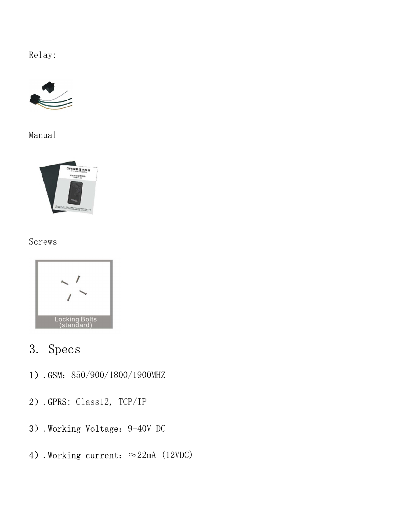Relay:



Manual



#### Screws



## 3. Specs

- 1).GSM:850/900/1800/1900MHZ
- 2).GPRS: Class12, TCP/IP
- 3).Working Voltage:9-40V DC
- 4).Working current: ≈22mA (12VDC)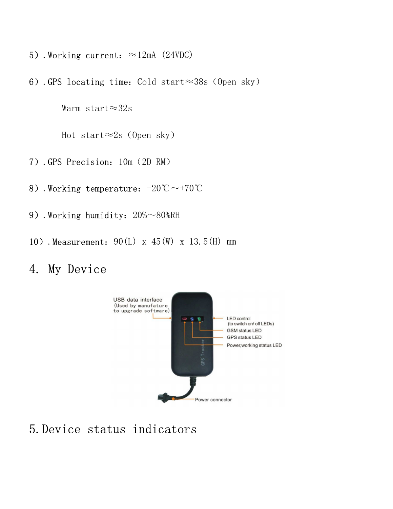- 5). Working current:  $\approx$ 12mA (24VDC)
- 6).GPS locating time: Cold start≈38s (Open sky)

Warm start≈32s

Hot start≈2s(Open sky)

- 7).GPS Precision:10m(2D RM)
- 8).Working temperature: -20℃ ~+70℃
- 9).Working humidity: 20%~80%RH
- 10).Measurement: 90(L) x 45(W) x 13.5(H) mm

### 4. My Device



5.Device status indicators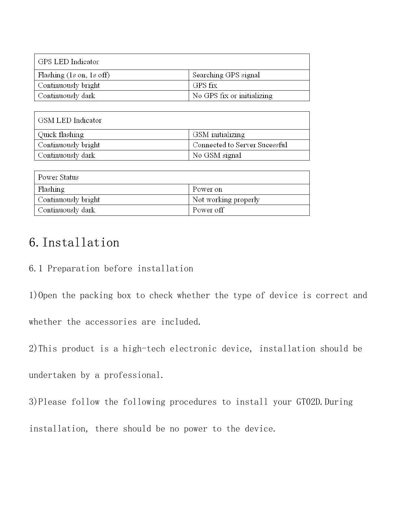| GPS LED Indicator                          |                            |
|--------------------------------------------|----------------------------|
| Flashing $(1s \text{ on}, 1s \text{ off})$ | Searching GPS signal       |
| Continuously bright                        | GPS fix                    |
| ' Continuously dark                        | No GPS fix or initializing |

| GSM LED Indicator   |                               |
|---------------------|-------------------------------|
| Quick flashing      | GSM initializing              |
| Continuously bright | Connected to Server Sucessful |
| Continuously dark   | No GSM signal                 |

| Power Status        |                      |
|---------------------|----------------------|
| Flashing            | Power on             |
| Continuously bright | Not working properly |
| Continuously dark-  | Power off            |

## 6.Installation

6.1 Preparation before installation

1)Open the packing box to check whether the type of device is correct and

whether the accessories are included.

2)This product is a high-tech electronic device, installation should be

undertaken by a professional.

3)Please follow the following procedures to install your GT02D. During

installation, there should be no power to the device.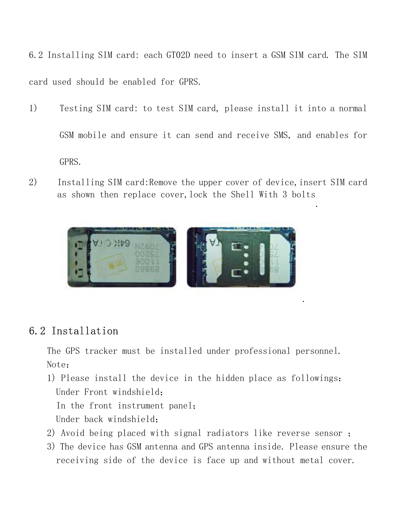6.2 Installing SIM card: each GT02D need to insert a GSM SIM card. The SIM card used should be enabled for GPRS.

- 1) Testing SIM card: to test SIM card, please install it into a normal GSM mobile and ensure it can send and receive SMS, and enables for GPRS.
- 2) Installing SIM card: Remove the upper cover of device, insert SIM card as shown then replace cover, lock the Shell With 3 bolts .



#### 6.2 Installation

The GPS tracker must be installed under professional personnel. Note:

.

- 1) Please install the device in the hidden place as followings: Under Front windshield; In the front instrument panel; Under back windshield;
- 2) Avoid being placed with signal radiators like reverse sensor ;
- 3) The device has GSM antenna and GPS antenna inside. Please ensure the receiving side of the device is face up and without metal cover.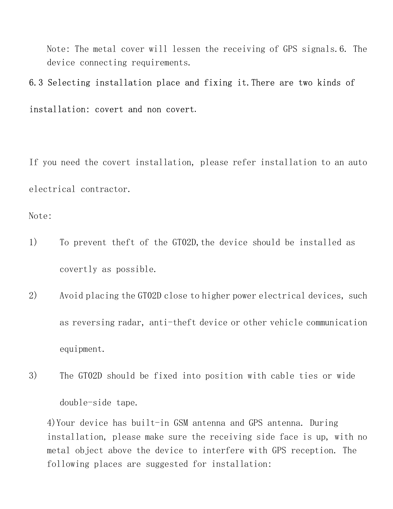Note: The metal cover will lessen the receiving of GPS signals.6. The device connecting requirements.

#### 6.3 Selecting installation place and fixing it.There are two kinds of

installation: covert and non covert.

If you need the covert installation, please refer installation to an auto electrical contractor.

Note:

- 1) To prevent the ft of the GT02D, the device should be installed as covertly as possible.
- 2) Avoid placing the GT02D close to higher power electrical devices, such as reversing radar, anti-theft device or other vehicle communication equipment.
- 3) The GT02D should be fixed into position with cable ties or wide double-side tape.

4)Your device has built-in GSM antenna and GPS antenna. During installation, please make sure the receiving side face is up, with no metal object above the device to interfere with GPS reception. The following places are suggested for installation: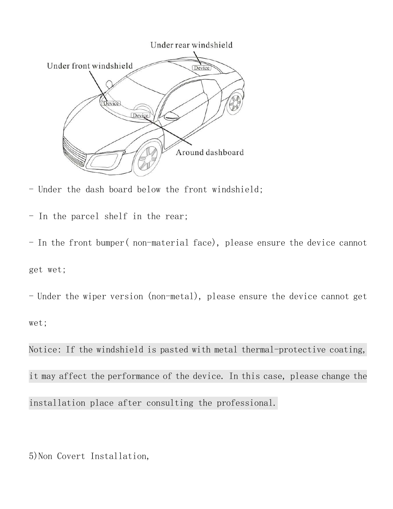

- Under the dash board below the front windshield;

- In the parcel shelf in the rear;

- In the front bumper( non-material face), please ensure the device cannot get wet;

- Under the wiper version (non-metal), please ensure the device cannot get wet;

Notice: If the windshield is pasted with metal thermal-protective coating, it may affect the performance of the device. In this case, please change the installation place after consulting the professional.

5)Non Covert Installation,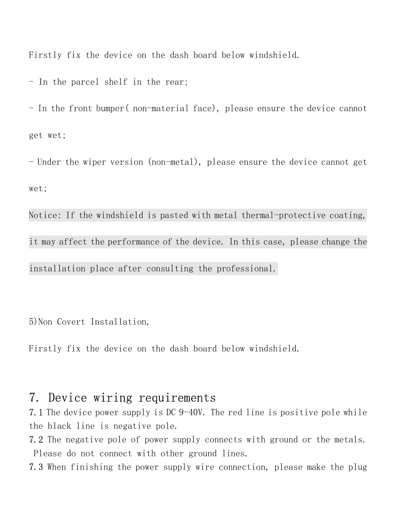Firstly fix the device on the dash board below windshield.

- In the parcel shelf in the rear;

- In the front bumper( non-material face), please ensure the device cannot get wet;

- Under the wiper version (non-metal), please ensure the device cannot get wet;

Notice: If the windshield is pasted with metal thermal-protective coating, it may affect the performance of the device. In this case, please change the installation place after consulting the professional.

5)Non Covert Installation,

Firstly fix the device on the dash board below windshield.

#### 7. Device wiring requirements

7.1 The device power supply is DC 9-40V. The red line is positive pole while the black line is negative pole.

- 7.2 The negative pole of power supply connects with ground or the metals. Please do not connect with other ground lines.
- 7.3 When finishing the power supply wire connection, please make the plug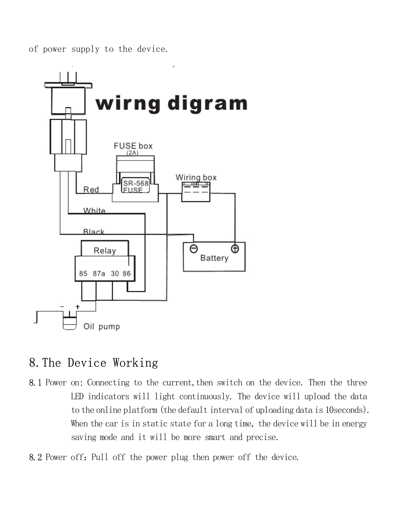of power supply to the device.



## 8.The Device Working

- 8.1 Power on: Connecting to the current, then switch on the device. Then the three LED indicators will light continuously. The device will upload the data to the online platform (the default interval of uploading data is 10seconds). When the car is in static state for a long time, the device will be in energy saving mode and it will be more smart and precise.
- 8.2 Power off: Pull off the power plug then power off the device.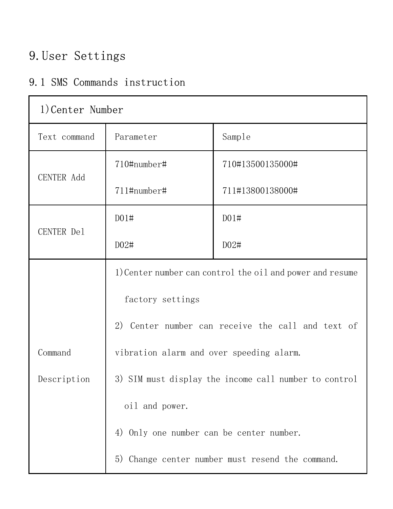## 9.User Settings

### 9.1 SMS Commands instruction

| 1) Center Number |                                                           |                  |
|------------------|-----------------------------------------------------------|------------------|
| Text command     | Parameter                                                 | Sample           |
|                  | 710#number#                                               | 710#13500135000# |
| CENTER Add       | 711#number#                                               | 711#13800138000# |
|                  | D01#                                                      | D01#             |
| CENTER Del       | D02#                                                      | D02#             |
|                  | 1) Center number can control the oil and power and resume |                  |
|                  | factory settings                                          |                  |
|                  | 2) Center number can receive the call and text of         |                  |
| Command          | vibration alarm and over speeding alarm.                  |                  |
| Description      | 3) SIM must display the income call number to control     |                  |
|                  | oil and power.                                            |                  |
|                  | 4) Only one number can be center number.                  |                  |
|                  | 5) Change center number must resend the command.          |                  |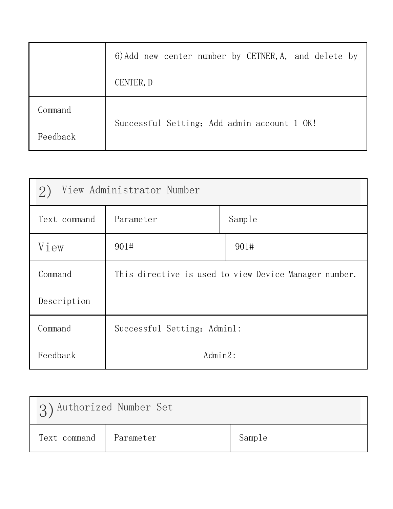|          | 6) Add new center number by CETNER, A, and delete by |
|----------|------------------------------------------------------|
|          | CENTER, D                                            |
| Command  | Successful Setting: Add admin account 1 OK!          |
| Feedback |                                                      |

| View Administrator Number<br>2) |                                                       |  |  |
|---------------------------------|-------------------------------------------------------|--|--|
| Text command                    | Sample<br>Parameter                                   |  |  |
| View                            | 901#<br>901#                                          |  |  |
| Command                         | This directive is used to view Device Manager number. |  |  |
| Description                     |                                                       |  |  |
| Command                         | Successful Setting: Admin1:                           |  |  |
| Feedback                        | $Admin2$ :                                            |  |  |

| 3) Authorized Number Set |           |        |
|--------------------------|-----------|--------|
| Text command             | Parameter | Sample |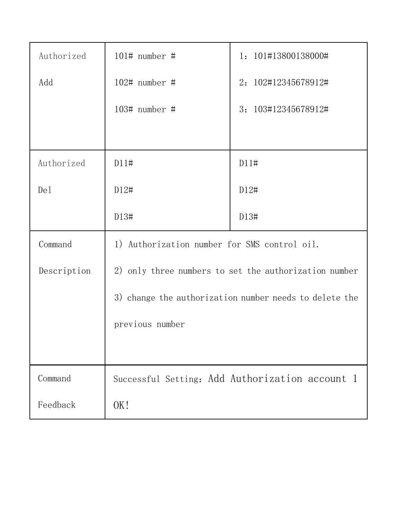| Authorized  | $101\#$ number #                                       | 1: 101#13800138000#                                   |
|-------------|--------------------------------------------------------|-------------------------------------------------------|
| Add         | $102#$ number #                                        | 2: 102#12345678912#                                   |
|             | $103#$ number #                                        | 3: 103#12345678912#                                   |
|             |                                                        |                                                       |
| Authorized  | D11#                                                   | D11#                                                  |
| De1         | D12#                                                   | D12#                                                  |
|             | D13#                                                   | D13#                                                  |
| Command     | 1) Authorization number for SMS control oil.           |                                                       |
| Description |                                                        | 2) only three numbers to set the authorization number |
|             | 3) change the authorization number needs to delete the |                                                       |
|             | previous number                                        |                                                       |
|             |                                                        |                                                       |
| Command     |                                                        | Successful Setting: Add Authorization account 1       |
| Feedback    | OK!                                                    |                                                       |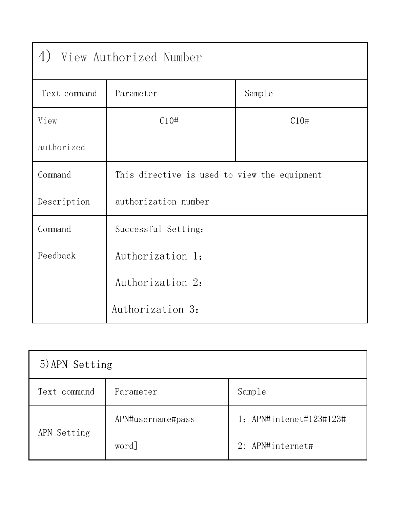| View Authorized Number<br>4) |                                              |        |
|------------------------------|----------------------------------------------|--------|
| Text command                 | Parameter                                    | Sample |
| View                         | C10#                                         | C10#   |
| authorized                   |                                              |        |
| Command                      | This directive is used to view the equipment |        |
| Description                  | authorization number                         |        |
| Command                      | Successful Setting:                          |        |
| Feedback                     | Authorization 1:                             |        |
|                              | Authorization 2:                             |        |
|                              | Authorization 3:                             |        |

| 5) APN Setting |                   |                         |
|----------------|-------------------|-------------------------|
| Text command   | Parameter         | Sample                  |
| APN Setting    | APN#username#pass | 1: APN#intenet#123#123# |
|                | word]             | 2: APN#internet#        |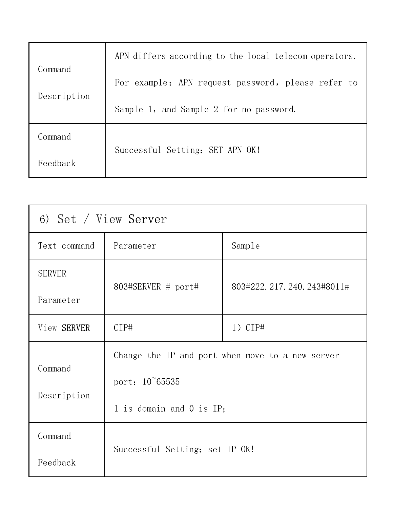|             | APN differs according to the local telecom operators. |
|-------------|-------------------------------------------------------|
| Command     | For example: APN request password, please refer to    |
| Description | Sample 1, and Sample 2 for no password.               |
| Command     |                                                       |
| Feedback    | Successful Setting: SET APN OK!                       |

| 6) Set / View Server |                                                                                                         |                              |
|----------------------|---------------------------------------------------------------------------------------------------------|------------------------------|
| Text command         | Parameter                                                                                               | Sample                       |
| <b>SERVER</b>        |                                                                                                         | 803#222, 217, 240, 243#8011# |
| Parameter            | 803#SERVER # port#                                                                                      |                              |
| View SERVER          | CIP#                                                                                                    | $1)$ CIP#                    |
| Command              | Change the IP and port when move to a new server<br>port: $10^{\circ}65535$<br>1 is domain and 0 is IP; |                              |
|                      |                                                                                                         |                              |
| Description          |                                                                                                         |                              |
| Command              |                                                                                                         |                              |
| Feedback             | Successful Setting: set IP OK!                                                                          |                              |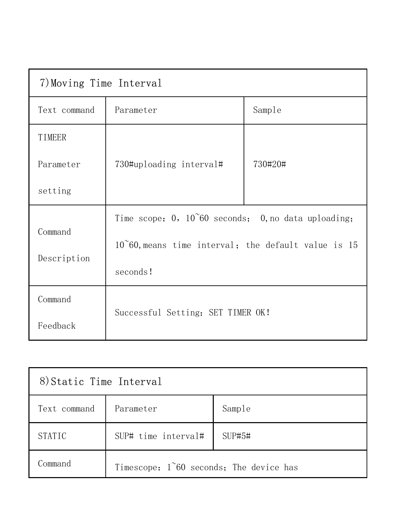| 7) Moving Time Interval                                         |                                                               |         |
|-----------------------------------------------------------------|---------------------------------------------------------------|---------|
| Text command                                                    | Parameter                                                     | Sample  |
| TIMEER                                                          |                                                               |         |
| Parameter                                                       | 730#uploading interval#                                       | 730#20# |
| setting                                                         |                                                               |         |
| Time scope: $0$ , $10^{\circ}60$ seconds; 0, no data uploading; |                                                               |         |
| Command                                                         | $10^{\circ}60$ , means time interval; the default value is 15 |         |
| Description                                                     | seconds!                                                      |         |
| Command                                                         | Successful Setting: SET TIMER OK!                             |         |
| Feedback                                                        |                                                               |         |

| 8) Static Time Interval |                                           |        |
|-------------------------|-------------------------------------------|--------|
| Text command            | Parameter                                 | Sample |
| <b>STATIC</b>           | SUP# time interval#                       | SUP#5# |
| Command                 | Timescope: $1^60$ seconds; The device has |        |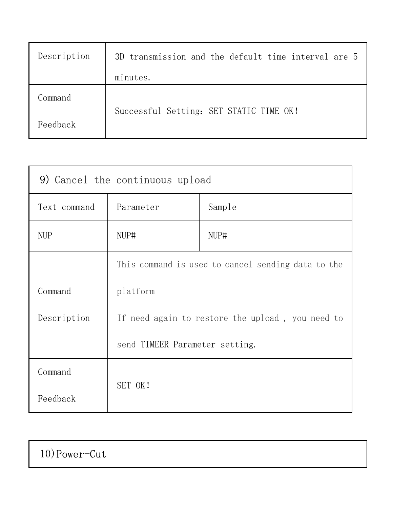| Description | 3D transmission and the default time interval are 5 |
|-------------|-----------------------------------------------------|
|             | minutes.                                            |
| Command     | Successful Setting: SET STATIC TIME OK!             |
| Feedback    |                                                     |

| 9) Cancel the continuous upload |                                                    |        |
|---------------------------------|----------------------------------------------------|--------|
| Text command                    | Parameter                                          | Sample |
| <b>NUP</b>                      | NUP#                                               | NUP#   |
|                                 | This command is used to cancel sending data to the |        |
| Command                         | platform                                           |        |
| Description                     | If need again to restore the upload, you need to   |        |
|                                 | send TIMEER Parameter setting.                     |        |
| Command                         |                                                    |        |
| Feedback                        | SET OK!                                            |        |

## 10)Power-Cut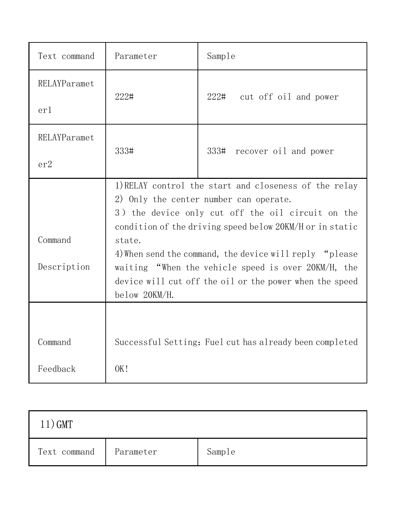| Text command           | Parameter                                                                                                                                                                                                                                                                                                                                                                                                                | Sample                                                  |
|------------------------|--------------------------------------------------------------------------------------------------------------------------------------------------------------------------------------------------------------------------------------------------------------------------------------------------------------------------------------------------------------------------------------------------------------------------|---------------------------------------------------------|
| RELAYParamet<br>erl    | 222#                                                                                                                                                                                                                                                                                                                                                                                                                     | 222# cut off oil and power                              |
| RELAYParamet<br>er2    | 333#                                                                                                                                                                                                                                                                                                                                                                                                                     | 333# recover oil and power                              |
| Command<br>Description | 1) RELAY control the start and closeness of the relay<br>2) Only the center number can operate.<br>3) the device only cut off the oil circuit on the<br>condition of the driving speed below 20KM/H or in static<br>state.<br>4) When send the command, the device will reply "please<br>waiting "When the vehicle speed is over 20KM/H, the<br>device will cut off the oil or the power when the speed<br>below 20KM/H. |                                                         |
| Command<br>Feedback    | OK!                                                                                                                                                                                                                                                                                                                                                                                                                      | Successful Setting: Fuel cut has already been completed |

| $11)$ GMT    |           |        |
|--------------|-----------|--------|
| Text command | Parameter | Sample |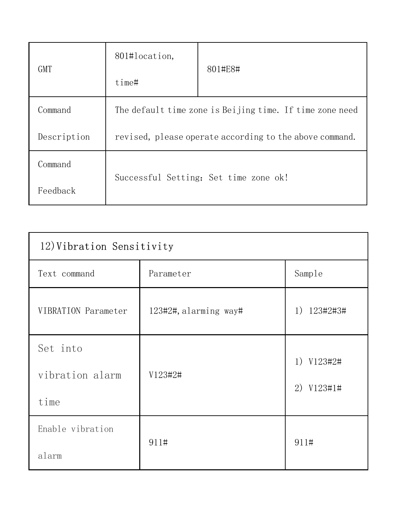| <b>GMT</b>  | 801#location,                                            | 801#E8#                               |
|-------------|----------------------------------------------------------|---------------------------------------|
|             | time#                                                    |                                       |
| Command     | The default time zone is Beijing time. If time zone need |                                       |
| Description | revised, please operate according to the above command.  |                                       |
| Command     |                                                          |                                       |
| Feedback    |                                                          | Successful Setting: Set time zone ok! |

| 12) Vibration Sensitivity |                       |             |
|---------------------------|-----------------------|-------------|
| Text command              | Parameter             | Sample      |
| VIBRATION Parameter       | 123#2#, alarming way# | 1) 123#2#3# |
| Set into                  |                       |             |
| vibration alarm           | V123#2#               | 1) V123#2#  |
| time                      |                       | 2) V123#1#  |
| Enable vibration          |                       |             |
| alarm                     | 911#                  | 911#        |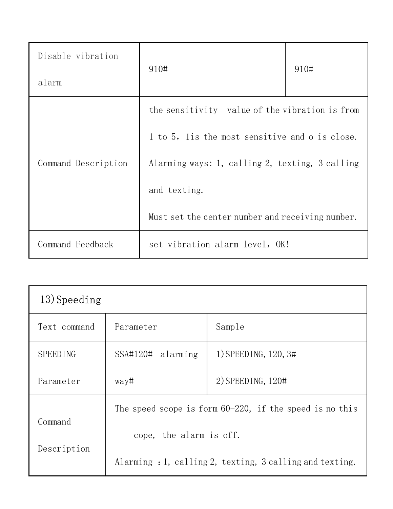| Disable vibration<br>alarm | 910#                                                                                             | 910# |
|----------------------------|--------------------------------------------------------------------------------------------------|------|
|                            | the sensitivity value of the vibration is from<br>1 to 5, lis the most sensitive and o is close. |      |
| Command Description        | Alarming ways: 1, calling 2, texting, 3 calling<br>and texting.                                  |      |
|                            | Must set the center number and receiving number.                                                 |      |
| Command Feedback           | set vibration alarm level, OK!                                                                   |      |

| $13)$ Speeding  |                                                            |                      |
|-----------------|------------------------------------------------------------|----------------------|
| Text command    | Parameter                                                  | Sample               |
| <b>SPEEDING</b> | $SSA#120#$ alarming                                        | 1) SPEEDING, 120, 3# |
| Parameter       | way#                                                       | $2)$ SPEEDING, 120#  |
| Command         | The speed scope is form $60-220$ , if the speed is no this |                      |
| Description     | cope, the alarm is off.                                    |                      |
|                 | Alarming : 1, calling 2, texting, 3 calling and texting.   |                      |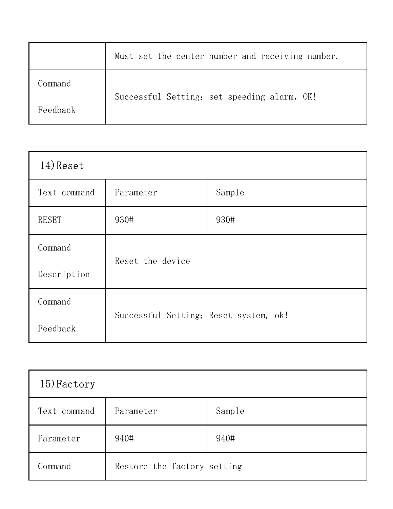|          | Must set the center number and receiving number. |
|----------|--------------------------------------------------|
| Command  |                                                  |
| Feedback | Successful Setting: set speeding alarm, OK!      |

| $14)$ Reset  |                                       |        |
|--------------|---------------------------------------|--------|
| Text command | Parameter                             | Sample |
| <b>RESET</b> | 930#                                  | 930#   |
| Command      | Reset the device                      |        |
| Description  |                                       |        |
| Command      |                                       |        |
| Feedback     | Successful Setting: Reset system, ok! |        |

| 15) Factory  |                             |        |
|--------------|-----------------------------|--------|
| Text command | Parameter                   | Sample |
| Parameter    | 940#                        | 940#   |
| Command      | Restore the factory setting |        |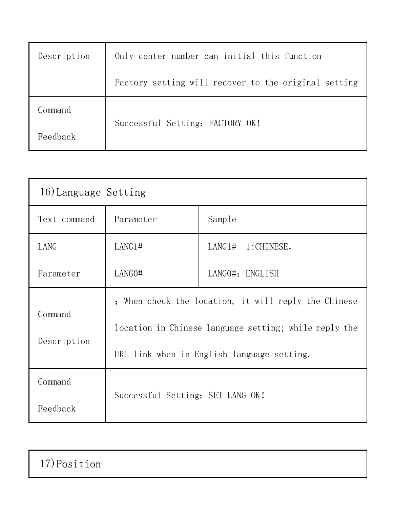| Description | Only center number can initial this function         |  |
|-------------|------------------------------------------------------|--|
|             | Factory setting will recover to the original setting |  |
| Command     | Successful Setting: FACTORY OK!                      |  |
| Feedback    |                                                      |  |

| 16) Language Setting   |                                                       |                   |
|------------------------|-------------------------------------------------------|-------------------|
| Text command           | Parameter                                             | Sample            |
| LANG                   | LANG1#                                                | LANG1# 1:CHINESE, |
| Parameter              | LANG0#                                                | LANGO#: ENGLISH   |
|                        | ; When check the location, it will reply the Chinese  |                   |
| Command<br>Description | location in Chinese language setting; while reply the |                   |
|                        | URL link when in English language setting.            |                   |
| Command                | Successful Setting: SET LANG OK!                      |                   |
| Feedback               |                                                       |                   |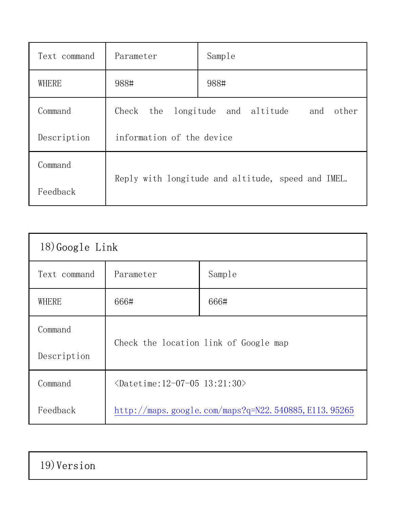| Text command | Parameter                                          | Sample                                 |
|--------------|----------------------------------------------------|----------------------------------------|
| WHERE        | 988#                                               | 988#                                   |
| Command      | Check<br>the                                       | other<br>longitude and altitude<br>and |
| Description  | information of the device                          |                                        |
| Command      | Reply with longitude and altitude, speed and IMEL. |                                        |
| Feedback     |                                                    |                                        |

| $18)$ Google Link |                                                      |        |
|-------------------|------------------------------------------------------|--------|
| Text command      | Parameter                                            | Sample |
| WHERE             | 666#                                                 | 666#   |
| Command           | Check the location link of Google map                |        |
| Description       |                                                      |        |
| Command           | $\langle$ Datetime:12-07-05 13:21:30>                |        |
| Feedback          | http://maps.google.com/maps?q=N22.540885, E113.95265 |        |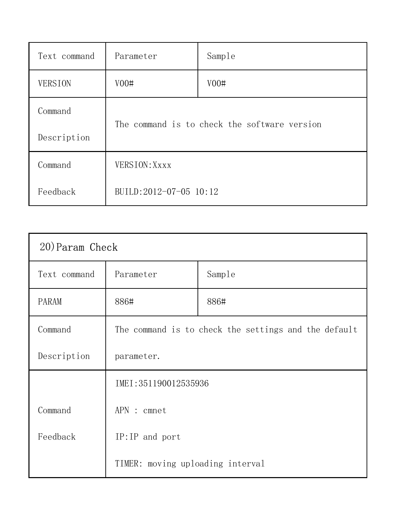| Text command   | Parameter                                    | Sample |
|----------------|----------------------------------------------|--------|
| <b>VERSION</b> | V00#                                         | V00#   |
| Command        | The command is to check the software version |        |
| Description    |                                              |        |
| Command        | VERSION: Xxxx                                |        |
| Feedback       | BUILD:2012-07-05 10:12                       |        |

| 20) Param Check |                                                      |        |
|-----------------|------------------------------------------------------|--------|
| Text command    | Parameter                                            | Sample |
| <b>PARAM</b>    | 886#                                                 | 886#   |
| Command         | The command is to check the settings and the default |        |
| Description     | parameter.                                           |        |
|                 | IMEI: 351190012535936                                |        |
| Command         | APN : cmnet                                          |        |
| Feedback        | $IP:IP$ and port                                     |        |
|                 | TIMER: moving uploading interval                     |        |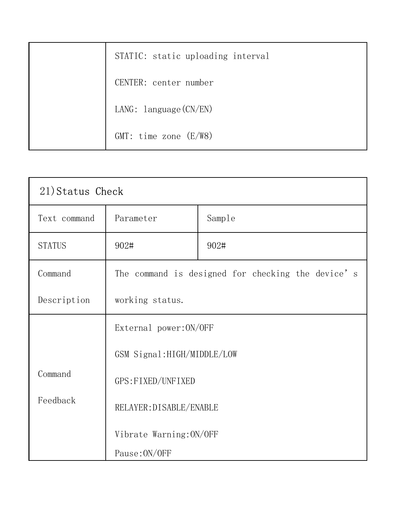| STATIC: static uploading interval |
|-----------------------------------|
| CENTER: center number             |
| LANG: $language (CN/EN)$          |
| $GMT$ : time zone $(E/W8)$        |

| 21) Status Check |                                                                                                                                   |        |
|------------------|-----------------------------------------------------------------------------------------------------------------------------------|--------|
| Text command     | Parameter                                                                                                                         | Sample |
| <b>STATUS</b>    | 902#                                                                                                                              | 902#   |
| Command          | The command is designed for checking the device's                                                                                 |        |
| Description      | working status.                                                                                                                   |        |
|                  | External power: ON/OFF<br>GSM Signal: HIGH/MIDDLE/LOW<br>GPS: FIXED/UNFIXED<br>RELAYER: DISABLE/ENABLE<br>Vibrate Warning: ON/OFF |        |
|                  |                                                                                                                                   |        |
| Command          |                                                                                                                                   |        |
| Feedback         |                                                                                                                                   |        |
|                  |                                                                                                                                   |        |
|                  | Pause: ON/OFF                                                                                                                     |        |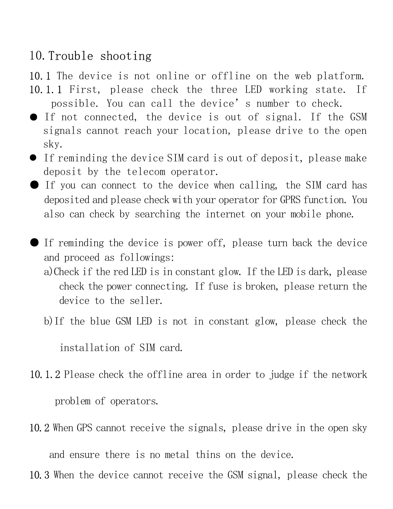## 10.Trouble shooting

10.1 The device is not online or offline on the web platform.

- 10.1.1 First, please check the three LED working state. If possible. You can call the device's number to check.
- If not connected, the device is out of signal. If the GSM signals cannot reach your location, please drive to the open sky.
- If reminding the device SIM card is out of deposit, please make deposit by the telecom operator.
- If you can connect to the device when calling, the SIM card has deposited and please check with your operator for GPRS function. You also can check by searching the internet on your mobile phone.
- If reminding the device is power off, please turn back the device and proceed as followings:
	- a)Check if the red LED is in constant glow. If the LED is dark, please check the power connecting. If fuse is broken, please return the device to the seller.
	- b)If the blue GSM LED is not in constant glow, please check the

installation of SIM card.

- 10.1.2 Please check the offline area in order to judge if the network problem of operators.
- 10.2 When GPS cannot receive the signals, please drive in the open sky

and ensure there is no metal thins on the device.

10.3 When the device cannot receive the GSM signal, please check the